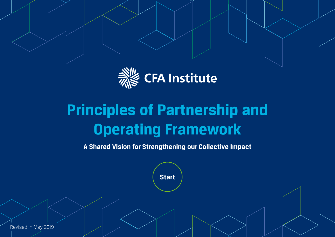

# **Principles of Partnership and Operating Framework**

**A Shared Vision for Strengthening our Collective Impact**

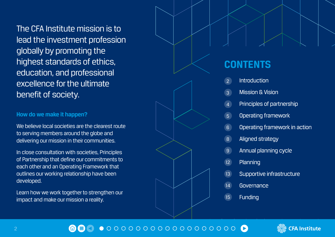<span id="page-1-0"></span>The CFA Institute mission is to lead the investment profession globally by promoting the highest standards of ethics, education, and professional excellence for the ultimate benefit of society.

#### **How do we make it happen?**

We believe local societies are the clearest route to serving members around the globe and delivering our mission in their communities.

In close consultation with societies, Principles of Partnership that define our commitments to each other and an Operating Framework that outlines our working relationship have been developed.

Learn how we work together to strengthen our impact and make our mission a reality.

### **CONTENTS**

- Introduction  $\overline{2}$
- 2345689 **Mission & Vision**  $\overline{3}$
- Principles of partnership
- $5<sup>1</sup>$ **Operating framework**
- $6<sup>1</sup>$ Operating framework in action
- $\mathbf{R}$ Aligned strategy
- $\overline{g}$ Annual planning cycle
- 14 5 6 8 9 12 13 14 4 5 6 8 9 12 13 14 15 12 Planning
- 13 Supportive infrastructure
- $\overline{14}$ Governance
- 15 Funding

### $\bullet$  000000000000000000

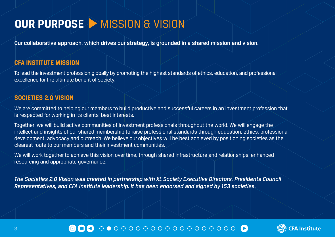# <span id="page-2-0"></span>**OUR PURPOSE > MISSION & VISION**

Our collaborative approach, which drives our strategy, is grounded in a shared mission and vision.

#### **CFA INSTITUTE MISSION**

To lead the investment profession globally by promoting the highest standards of ethics, education, and professional excellence for the ultimate benefit of society.

#### **SOCIETIES 2.0 VISION**

We are committed to helping our members to build productive and successful careers in an investment profession that is respected for working in its clients' best interests.

Together, we will build active communities of investment professionals throughout the world. We will engage the intellect and insights of our shared membership to raise professional standards through education, ethics, professional development, advocacy and outreach. We believe our objectives will be best achieved by positioning societies as the clearest route to our members and their investment communities.

We will work together to achieve this vision over time, through shared infrastructure and relationships, enhanced resourcing and appropriate governance.

*[The Societies 2.0 Vision was created in partnership with XL Society Executive Directors, Presidents Council](https://connexions.cfainstitute.org/societies-2-0-vision-statement)  [Representatives, and CFA Institute leadership. It has been endorsed and signed by 153 societies.](https://connexions.cfainstitute.org/societies-2-0-vision-statement)*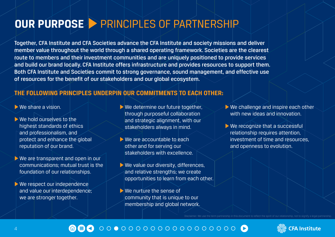# <span id="page-3-0"></span>**OUR PURPOSE** PRINCIPLES OF PARTNERSHIP

Together, CFA Institute and CFA Societies advance the CFA Institute and society missions and deliver member value throughout the world through a shared operating framework. Societies are the clearest route to members and their investment communities and are uniquely positioned to provide services and build our brand locally. CFA Institute offers infrastructure and provides resources to support them. Both CFA Institute and Societies commit to strong governance, sound management, and effective use of resources for the benefit of our stakeholders and our global ecosystem.

### **THE FOLLOWING PRINCIPLES UNDERPIN OUR COMMITMENTS TO EACH OTHER:**

We share a vision.

- We hold ourselves to the highest standards of ethics and professionalism, and protect and enhance the global reputation of our brand.
- We are transparent and open in our communications; mutual trust is the foundation of our relationships.
- We respect our independence and value our interdependence; we are stronger together.
- We determine our future together, through purposeful collaboration and strategic alignment, with our stakeholders always in mind.
- We are accountable to each other and for serving our stakeholders with excellence.
- $\triangleright$  We value our diversity, differences, and relative strengths; we create opportunities to learn from each other.
- We nurture the sense of community that is unique to our membership and global network.
- ▶ We challenge and inspire each other with new ideas and innovation.
- ▶ We recognize that a successful relationship requires attention, investment of time and resources, and openness to evolution.



#### 0000000000000000000 倫目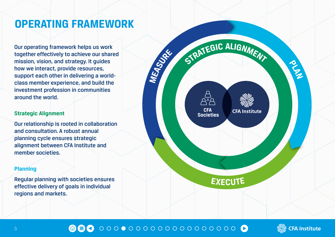## **OPERATING FRAMEWORK**

Our operating framework helps us work together effectively to achieve our shared mission, vision, and strategy. It guides how we interact, provide resources, support each other in delivering a worldclass member experience, and build the investment profession in communities around the world.

#### **Strategic Alignment**

Our relationship is rooted in collaboration and consultation. A robust annual planning cycle ensures strategic alignment between CFA Institute and member societies.

#### **Planning**

Regular planning with societies ensures effective delivery of goals in individual regions and markets.



#### $\begin{array}{lllllllllllllllllllll} \multicolumn{2}{l}{} & \multicolumn{2}{l}{} & \multicolumn{2}{l}{} & \multicolumn{2}{l}{} & \multicolumn{2}{l}{} & \multicolumn{2}{l}{} & \multicolumn{2}{l}{} & \multicolumn{2}{l}{} & \multicolumn{2}{l}{} & \multicolumn{2}{l}{} & \multicolumn{2}{l}{} & \multicolumn{2}{l}{} & \multicolumn{2}{l}{} & \multicolumn{2}{l}{} & \multicolumn{2}{l}{} & \multicolumn{2}{l}{} & \multicolumn{2}{l}{} & \multicolumn{2}{l}{} & \multicolumn{$ 680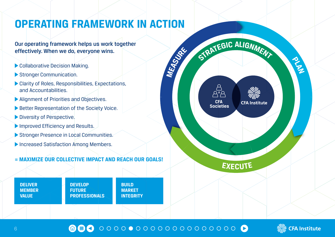# **OPERATING FRAMEWORK IN ACTION**

Our operating framework helps us work together effectively. When we do, everyone wins.

- Collaborative Decision Making.
- Stronger Communication.
- Clarity of Roles, Responsibilities, Expectations, and Accountabilities.
- Alignment of Priorities and Objectives.
- Better Representation of the Society Voice.
- Diversity of Perspective.
- Improved Efficiency and Results.
- Stronger Presence in Local Communities.
- **Increased Satisfaction Among Members.**

### **= MAXIMIZE OUR COLLECTIVE IMPACT AND REACH OUR GOALS!**

**DELIVER MEMBER VALUE**

**DEVELOP FUTURE PROFESSIONALS** **BUILD MARKET INTEGRITY** 







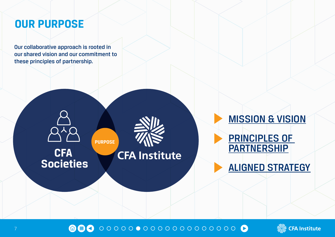## **OUR PURPOSE**

Our collaborative approach is rooted in our shared vision and our commitment to these principles of partnership. **OUR PURPOSE**<br> **OUR PURPOSE**<br> **OUR COLLADGE ALLER DE COLLADGE A LE TOOLE A LE TOOLE A LE TOOLE A LE TOOLE A LE TOOLE A LE TOOLE A LE TOOLE AFFECTIVE** 

**CFA** 

**Societies**



# **CFA Institute**

**PURPOSE**

[MISSION & VISION](#page-2-0) [PRINCIPLES OF](#page-3-0)  **PARTNERSHIP** [ALIGNED STRATEGY](#page-7-0)

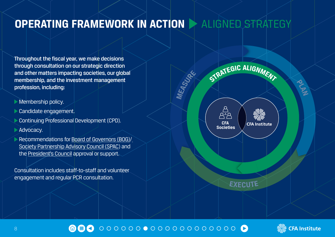## <span id="page-7-0"></span>**OPERATING FRAMEWORK IN ACTION > ALIGNED STRATEGY**

**MEASURE**

Throughout the fiscal year, we make decisions through consultation on our strategic direction and other matters impacting societies, our global membership, and the investment management profession, including:

- **Membership policy.**
- **Candidate engagement.**
- Continuing Professional Development (CPD).
- **Advocacy.**
- Recommendations for [Board of Governors \(BOG\)/](https://www.cfainstitute.org/en/about/governance/leadership/board) [Society Partnership Advisory Council \(SPAC\)](https://connexions.cfainstitute.org/society-partnership-advisory-council-31-jan-2019-meeting) and the [President's Council](https://www.cfainstitute.org/societycenter/Documents/ToRs.pdf) approval or support.

Consultation includes staff-to-staff and volunteer engagement and regular PCR consultation.



**EXECUTE**



**PLAN**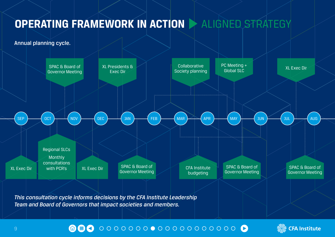# **OPERATING FRAMEWORK IN ACTION > ALIGNED STRATEGY**

Annual planning cycle.



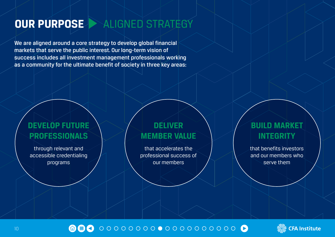# **OUR PURPOSE PURPOSE** ALIGNED STRATEGY

We are aligned around a core strategy to develop global financial markets that serve the public interest. Our long-term vision of success includes all investment management professionals working as a community for the ultimate benefit of society in three key areas:

### **DEVELOP FUTURE PROFESSIONALS**

through relevant and accessible credentialing programs

### **DELIVER MEMBER VALUE**

that accelerates the professional success of our members

### **BUILD MARKET INTEGRITY**

that benefits investors and our members who serve them



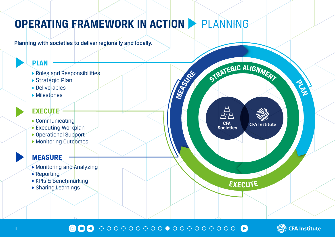# <span id="page-10-0"></span>**OPERATING FRAMEWORK IN ACTION** PLANNING

### Planning with societies to deliver regionally and locally.



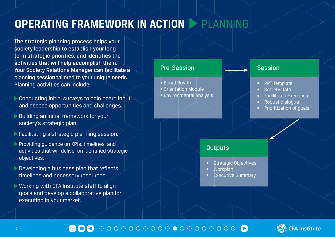# **OPERATING FRAMEWORK IN ACTION > PLANNING**

The strategic planning process helps your society leadership to establish your long term strategic priorities, and identifies the activities that will help accomplish them. Your Society Relations Manager can facilitate a planning session tailored to your unique needs. Planning activities can include:

- Conducting initial surveys to gain board input and assess opportunities and challenges.
- Building an initial framework for your society's strategic plan.
- **Facilitating a strategic planning session.**
- Providing quidance on KPIs, timelines, and activities that will deliver on identified strategic objectives.
- Developing a business plan that reflects timelines and necessary resources.
- Working with CFA Institute staff to align goals and develop a collaborative plan for executing in your market.

### Pre-Session

- Board Buy-In
- Orientation Module
- Environmental Analysis

#### Session

- **PPT** Template
- Society Data
- Facilitated Exercises
- Robust dialogue
- Prioritization of goals

### **Outputs**

- **Strategic Objectives**
- Workplan
- **Executive Summary**



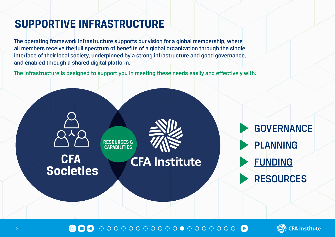# **SUPPORTIVE INFRASTRUCTURE**

The operating framework infrastructure supports our vision for a global membership, where all members receive the full spectrum of benefits of a global organization through the single interface of their local society, underpinned by a strong infrastructure and good governance, and enabled through a shared digital platform. **SUPPORTIVE INFRASTRUCTURE**<br>The operating framework infrastructure supports our vision for a global members all members receive the full spectrum of benefits of a global organization through

The infrastructure is designed to support you in meeting these needs easily and effectively with:



命目の

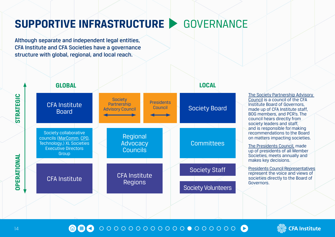# <span id="page-13-0"></span>**SUPPORTIVE INFRASTRUCTURE > GOVERNANCE**

Although separate and independent legal entities, CFA Institute and CFA Societies have a governance structure with global, regional, and local reach.



[The Society Partnership Advisory](https://connexions.cfainstitute.org/society-partnership-advisory-council)  [Council is a council of the CFA](https://connexions.cfainstitute.org/society-partnership-advisory-council)  [Institute Board of Governors,](https://connexions.cfainstitute.org/society-partnership-advisory-council)  [made up of CFA Institute staff,](https://connexions.cfainstitute.org/society-partnership-advisory-council)  [BOG members, and PCR's. The](https://connexions.cfainstitute.org/society-partnership-advisory-council)  [council hears directly from](https://connexions.cfainstitute.org/society-partnership-advisory-council)  [society leaders and staff,](https://connexions.cfainstitute.org/society-partnership-advisory-council)  [and is responsible for making](https://connexions.cfainstitute.org/society-partnership-advisory-council)  [recommendations to the Board](https://connexions.cfainstitute.org/society-partnership-advisory-council)  [on matters impacting societies.](https://connexions.cfainstitute.org/society-partnership-advisory-council)

[The Presidents Council, made](https://www.cfainstitute.org/societycenter/Documents/ToRs.pdf)  [up of presidents of all Member](https://www.cfainstitute.org/societycenter/Documents/ToRs.pdf)  [Societies, meets annually and](https://www.cfainstitute.org/societycenter/Documents/ToRs.pdf)  [makes key decisions.](https://www.cfainstitute.org/societycenter/Documents/ToRs.pdf)

[Presidents Council Representatives](https://connexions.cfainstitute.org/as-a-society-leader-i-wish-i-had-known) represent the voice and views of societies directly to the Board of Governors.



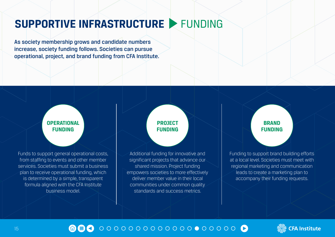# <span id="page-14-0"></span>**SUPPORTIVE INFRASTRUCTURE > FUNDING**

As society membership grows and candidate numbers increase, society funding follows. Societies can pursue operational, project, and brand funding from CFA Institute.

### **[OPERATIONAL](#page-15-0)  FUNDING**

Funds to support general operational costs, from staffing to events and other member services. Societies must submit a business plan to receive operational funding, which is determined by a simple, transparent formula aligned with the CFA Institute business model.

### **PROJECT [FUNDING](#page-16-0)**

Additional funding for innovative and significant projects that advance our shared mission. Project funding empowers societies to more effectively deliver member value in their local communities under common quality standards and success metrics.

### **BRAND [FUNDING](#page-17-0)**

Funding to support brand building efforts at a local level. Societies must meet with regional marketing and communication leads to create a marketing plan to accompany their funding requests.

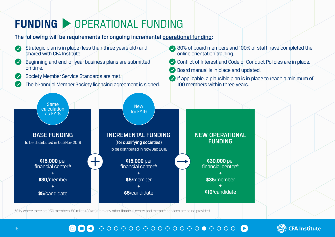# <span id="page-15-0"></span>**FUNDING > OPERATIONAL FUNDING**

Strategic plan is in place (less than three years old) and

The following will be requirements for ongoing incremental [operational funding:](https://connexions.cfainstitute.org/aligning-planning-and-business-cycles)



\*City where there are >50 members. 50 miles (80km) from any other financial center and member services are being provided.



80% of board members and 100% of staff have completed the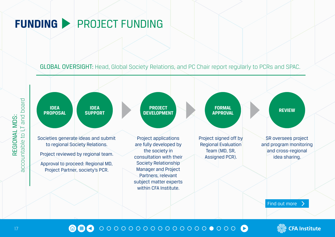# <span id="page-16-0"></span>**FUNDING > PROJECT FUNDING**

GLOBAL OVERSIGHT: Head, Global Society Relations, and PC Chair report regularly to PCRs and SPAC.







REGIONAL MDS: accountable to LT and board

REGIONAL MDS:

accountable to LT and board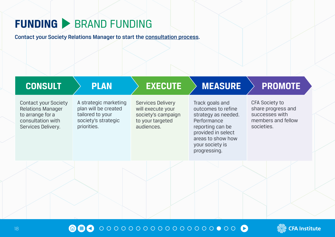# <span id="page-17-0"></span>**FUNDING > BRAND FUNDING**

Contact your Society Relations Manager to start the [consultation process](https://connexions.cfainstitute.org/society-brand-activation-program).

| <b>CONSULT</b>                                                                                                         | <b>PLAN</b>                                                                                             | <b>EXECUTE</b>                                                                                        | <b>MEASURE</b>                                                                                                                                                                | <b>PROMOTE</b>                                                                                    |
|------------------------------------------------------------------------------------------------------------------------|---------------------------------------------------------------------------------------------------------|-------------------------------------------------------------------------------------------------------|-------------------------------------------------------------------------------------------------------------------------------------------------------------------------------|---------------------------------------------------------------------------------------------------|
| <b>Contact your Society</b><br><b>Relations Manager</b><br>to arrange for a<br>consultation with<br>Services Delivery. | A strategic marketing<br>plan will be created<br>tailored to your<br>society's strategic<br>priorities. | <b>Services Delivery</b><br>will execute your<br>society's campaign<br>to your targeted<br>audiences. | Track goals and<br>outcomes to refine<br>strategy as needed.<br>Performance<br>reporting can be<br>provided in select<br>areas to show how<br>your society is<br>progressing. | <b>CFA Society to</b><br>share progress and<br>successes with<br>members and fellow<br>societies. |
|                                                                                                                        |                                                                                                         |                                                                                                       |                                                                                                                                                                               |                                                                                                   |

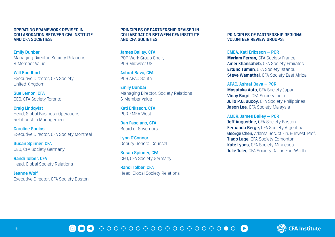OPERATING FRAMEWORK REVISED IN COLLABORATION BETWEEN CFA INSTITUTE AND CFA SOCIETIES:

Emily Dunbar Managing Director, Society Relations & Member Value

Will Goodhart Executive Director, CFA Society United Kingdom

Sue Lemon, CFA CEO, CFA Society Toronto

Craig Lindqvist Head, Global Business Operations, Relationship Management

Caroline Soulas Executive Director, CFA Society Montreal

Susan Spinner, CFA CEO, CFA Society Germany

Randi Tolber, CFA Head, Global Society Relations

Jeanne Wolf Executive Director, CFA Society Boston

#### PRINCIPLES OF PARTNERSHIP REVISED IN COLLABORATION BETWEEN CFA INSTITUTE AND CFA SOCIETIES:

James Bailey, CFA POP Work Group Chair, PCR Midwest US

Ashraf Bava, CFA PCR APAC South

Emily Dunbar Managing Director, Society Relations & Member Value

Kati Eriksson, CFA PCR EMEA West

Dan Fasciano, CFA Board of Governors

Lynn O'Connor Deputy General Counsel

Susan Spinner, CFA CEO, CFA Society Germany

Randi Tolber, CFA Head, Global Society Relations

#### PRINCIPLES OF PARTNERSHIP REGIONAL VOLUNTEER REVIEW GROUPS:

EMEA, Kati Eriksson — PCR **Myriam Ferran,** CFA Society France Amer Khansaheb, CFA Society Emirates **Ertunc Tumen, CFA Society Istanbul Steve Wamathai, CFA Society East Africa** 

APAC, Ashraf Bava — PCR Masataka Aoto, CFA Society Japan **Vinay Bagri, CFA Society India** Julio P.G. Bucoy, CFA Society Philippines Jason Lee, CFA Society Malaysia

AMER, James Bailey — PCR Jeff Augustine, CFA Society Boston Fernando Berge, CFA Society Argentina George Chen. Atlanta Soc. of Fin. & Invest. Prof. **Tiago Lage, CFA Society Edmonton** Kate Lyons, CFA Society Minnesota **Julie Toler, CFA Society Dallas Fort Worth**